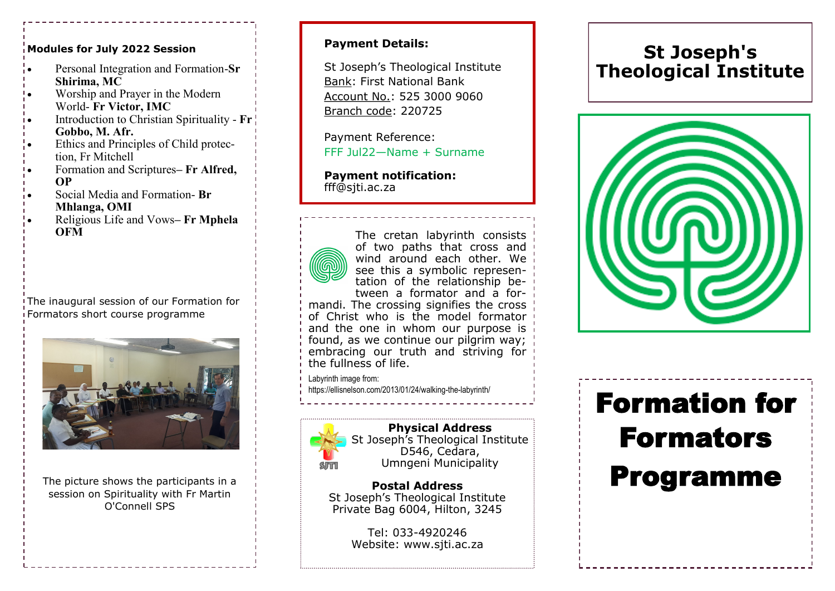#### **Modules for July 2022 Session**

- Personal Integration and Formation-**Sr Shirima, MC**
- Worship and Prayer in the Modern World- **Fr Victor, IMC**
- Introduction to Christian Spirituality **Fr Gobbo, M. Afr.**
- Ethics and Principles of Child protection, Fr Mitchell
- Formation and Scriptures**– Fr Alfred, OP**
- Social Media and Formation- **Br Mhlanga, OMI**
- Religious Life and Vows**– Fr Mphela OFM**

The inaugural session of our Formation for Formators short course programme



The picture shows the participants in a session on Spirituality with Fr Martin O'Connell SPS

# **Payment Details:**

St Joseph's Theological Institute Bank: First National Bank Account No.: 525 3000 9060 Branch code: 220725

Payment Reference: FFF Jul22—Name + Surname

# **Payment notification:**  fff@sjti.ac.za



The cretan labyrinth consists of two paths that cross and wind around each other. We see this a symbolic representation of the relationship between a formator and a for-

mandi. The crossing signifies the cross of Christ who is the model formator and the one in whom our purpose is found, as we continue our pilgrim way; embracing our truth and striving for the fullness of life.

Labyrinth image from:

https://ellisnelson.com/2013/01/24/walking-the-labyrinth/



**Physical Address** St Joseph's Theological Institute D546, Cedara, Umngeni Municipality

**Postal Address** St Joseph's Theological Institute Private Bag 6004, Hilton, 3245

> Tel: 033-4920246 Website: www.sjti.ac.za

# **St Joseph's Theological Institute**



# Formation for Formators Programme